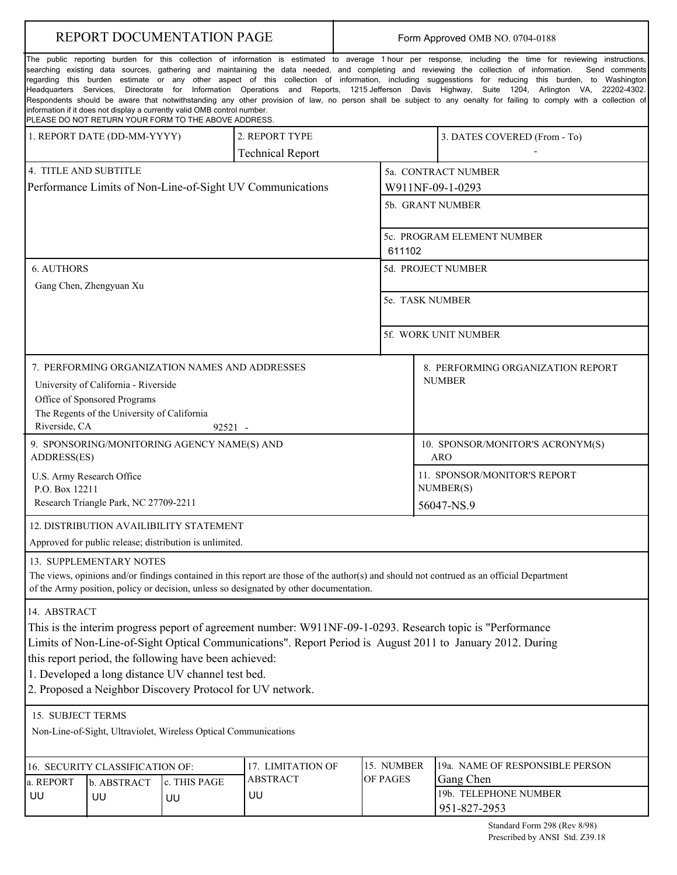| REPORT DOCUMENTATION PAGE                                                                                                                                                                                                                                                                                                                                                                                                                                                                                                                                                                                                                                                                                                                                                                                                                                                                                                                 |                                 |                    |                         |  | Form Approved OMB NO. 0704-0188      |                                                         |                                    |  |
|-------------------------------------------------------------------------------------------------------------------------------------------------------------------------------------------------------------------------------------------------------------------------------------------------------------------------------------------------------------------------------------------------------------------------------------------------------------------------------------------------------------------------------------------------------------------------------------------------------------------------------------------------------------------------------------------------------------------------------------------------------------------------------------------------------------------------------------------------------------------------------------------------------------------------------------------|---------------------------------|--------------------|-------------------------|--|--------------------------------------|---------------------------------------------------------|------------------------------------|--|
| The public reporting burden for this collection of information is estimated to average 1 hour per response, including the time for reviewing instructions,<br>searching existing data sources, gathering and maintaining the data needed, and completing and reviewing the collection of information.<br>Send comments<br>regarding this burden estimate or any other aspect of this collection of information, including suggesstions for reducing this burden, to Washington<br>Headquarters Services, Directorate for Information Operations and Reports, 1215 Jefferson Davis Highway, Suite 1204, Arlington VA, 22202-4302.<br>Respondents should be aware that notwithstanding any other provision of law, no person shall be subject to any oenalty for failing to comply with a collection of<br>information if it does not display a currently valid OMB control number.<br>PLEASE DO NOT RETURN YOUR FORM TO THE ABOVE ADDRESS. |                                 |                    |                         |  |                                      |                                                         |                                    |  |
| 1. REPORT DATE (DD-MM-YYYY)                                                                                                                                                                                                                                                                                                                                                                                                                                                                                                                                                                                                                                                                                                                                                                                                                                                                                                               |                                 |                    | 2. REPORT TYPE          |  |                                      |                                                         | 3. DATES COVERED (From - To)       |  |
|                                                                                                                                                                                                                                                                                                                                                                                                                                                                                                                                                                                                                                                                                                                                                                                                                                                                                                                                           |                                 |                    | <b>Technical Report</b> |  |                                      |                                                         |                                    |  |
| 4. TITLE AND SUBTITLE                                                                                                                                                                                                                                                                                                                                                                                                                                                                                                                                                                                                                                                                                                                                                                                                                                                                                                                     |                                 |                    |                         |  | 5a. CONTRACT NUMBER                  |                                                         |                                    |  |
| Performance Limits of Non-Line-of-Sight UV Communications                                                                                                                                                                                                                                                                                                                                                                                                                                                                                                                                                                                                                                                                                                                                                                                                                                                                                 |                                 |                    |                         |  | W911NF-09-1-0293                     |                                                         |                                    |  |
|                                                                                                                                                                                                                                                                                                                                                                                                                                                                                                                                                                                                                                                                                                                                                                                                                                                                                                                                           |                                 |                    |                         |  | 5b. GRANT NUMBER                     |                                                         |                                    |  |
|                                                                                                                                                                                                                                                                                                                                                                                                                                                                                                                                                                                                                                                                                                                                                                                                                                                                                                                                           |                                 |                    |                         |  | 5c. PROGRAM ELEMENT NUMBER<br>611102 |                                                         |                                    |  |
| <b>6. AUTHORS</b>                                                                                                                                                                                                                                                                                                                                                                                                                                                                                                                                                                                                                                                                                                                                                                                                                                                                                                                         |                                 |                    |                         |  |                                      | 5d. PROJECT NUMBER                                      |                                    |  |
| Gang Chen, Zhengyuan Xu                                                                                                                                                                                                                                                                                                                                                                                                                                                                                                                                                                                                                                                                                                                                                                                                                                                                                                                   |                                 |                    |                         |  |                                      |                                                         |                                    |  |
|                                                                                                                                                                                                                                                                                                                                                                                                                                                                                                                                                                                                                                                                                                                                                                                                                                                                                                                                           |                                 |                    |                         |  | 5e. TASK NUMBER                      |                                                         |                                    |  |
|                                                                                                                                                                                                                                                                                                                                                                                                                                                                                                                                                                                                                                                                                                                                                                                                                                                                                                                                           |                                 |                    |                         |  | 5f. WORK UNIT NUMBER                 |                                                         |                                    |  |
| 7. PERFORMING ORGANIZATION NAMES AND ADDRESSES                                                                                                                                                                                                                                                                                                                                                                                                                                                                                                                                                                                                                                                                                                                                                                                                                                                                                            |                                 |                    |                         |  |                                      |                                                         | 8. PERFORMING ORGANIZATION REPORT  |  |
| <b>NUMBER</b><br>University of California - Riverside<br>Office of Sponsored Programs<br>The Regents of the University of California                                                                                                                                                                                                                                                                                                                                                                                                                                                                                                                                                                                                                                                                                                                                                                                                      |                                 |                    |                         |  |                                      |                                                         |                                    |  |
| Riverside, CA<br>92521 -                                                                                                                                                                                                                                                                                                                                                                                                                                                                                                                                                                                                                                                                                                                                                                                                                                                                                                                  |                                 |                    |                         |  |                                      |                                                         |                                    |  |
| 9. SPONSORING/MONITORING AGENCY NAME(S) AND<br>ADDRESS(ES)                                                                                                                                                                                                                                                                                                                                                                                                                                                                                                                                                                                                                                                                                                                                                                                                                                                                                |                                 |                    |                         |  |                                      | 10. SPONSOR/MONITOR'S ACRONYM(S)<br>ARO                 |                                    |  |
| U.S. Army Research Office<br>P.O. Box 12211<br>Research Triangle Park, NC 27709-2211                                                                                                                                                                                                                                                                                                                                                                                                                                                                                                                                                                                                                                                                                                                                                                                                                                                      |                                 |                    |                         |  |                                      | 11. SPONSOR/MONITOR'S REPORT<br>NUMBER(S)<br>56047-NS.9 |                                    |  |
| 12. DISTRIBUTION AVAILIBILITY STATEMENT                                                                                                                                                                                                                                                                                                                                                                                                                                                                                                                                                                                                                                                                                                                                                                                                                                                                                                   |                                 |                    |                         |  |                                      |                                                         |                                    |  |
| Approved for public release; distribution is unlimited.                                                                                                                                                                                                                                                                                                                                                                                                                                                                                                                                                                                                                                                                                                                                                                                                                                                                                   |                                 |                    |                         |  |                                      |                                                         |                                    |  |
| 13. SUPPLEMENTARY NOTES<br>The views, opinions and/or findings contained in this report are those of the author(s) and should not contrued as an official Department<br>of the Army position, policy or decision, unless so designated by other documentation.                                                                                                                                                                                                                                                                                                                                                                                                                                                                                                                                                                                                                                                                            |                                 |                    |                         |  |                                      |                                                         |                                    |  |
| 14. ABSTRACT<br>This is the interim progress peport of agreement number: W911NF-09-1-0293. Research topic is "Performance"<br>Limits of Non-Line-of-Sight Optical Communications". Report Period is August 2011 to January 2012. During<br>this report period, the following have been achieved:<br>1. Developed a long distance UV channel test bed.<br>2. Proposed a Neighbor Discovery Protocol for UV network.                                                                                                                                                                                                                                                                                                                                                                                                                                                                                                                        |                                 |                    |                         |  |                                      |                                                         |                                    |  |
| 15. SUBJECT TERMS                                                                                                                                                                                                                                                                                                                                                                                                                                                                                                                                                                                                                                                                                                                                                                                                                                                                                                                         |                                 |                    |                         |  |                                      |                                                         |                                    |  |
| Non-Line-of-Sight, Ultraviolet, Wireless Optical Communications                                                                                                                                                                                                                                                                                                                                                                                                                                                                                                                                                                                                                                                                                                                                                                                                                                                                           |                                 |                    |                         |  |                                      |                                                         |                                    |  |
|                                                                                                                                                                                                                                                                                                                                                                                                                                                                                                                                                                                                                                                                                                                                                                                                                                                                                                                                           | 16. SECURITY CLASSIFICATION OF: |                    | 17. LIMITATION OF       |  | 15. NUMBER                           |                                                         | 19a. NAME OF RESPONSIBLE PERSON    |  |
| a. REPORT                                                                                                                                                                                                                                                                                                                                                                                                                                                                                                                                                                                                                                                                                                                                                                                                                                                                                                                                 | b. ABSTRACT<br>UU               | c. THIS PAGE<br>UU | <b>ABSTRACT</b><br>UU   |  | OF PAGES                             |                                                         | Gang Chen<br>19b. TELEPHONE NUMBER |  |
| UU                                                                                                                                                                                                                                                                                                                                                                                                                                                                                                                                                                                                                                                                                                                                                                                                                                                                                                                                        |                                 |                    |                         |  |                                      |                                                         | 951-827-2953                       |  |
| Standard Form 298 (Rev 8/98)                                                                                                                                                                                                                                                                                                                                                                                                                                                                                                                                                                                                                                                                                                                                                                                                                                                                                                              |                                 |                    |                         |  |                                      |                                                         |                                    |  |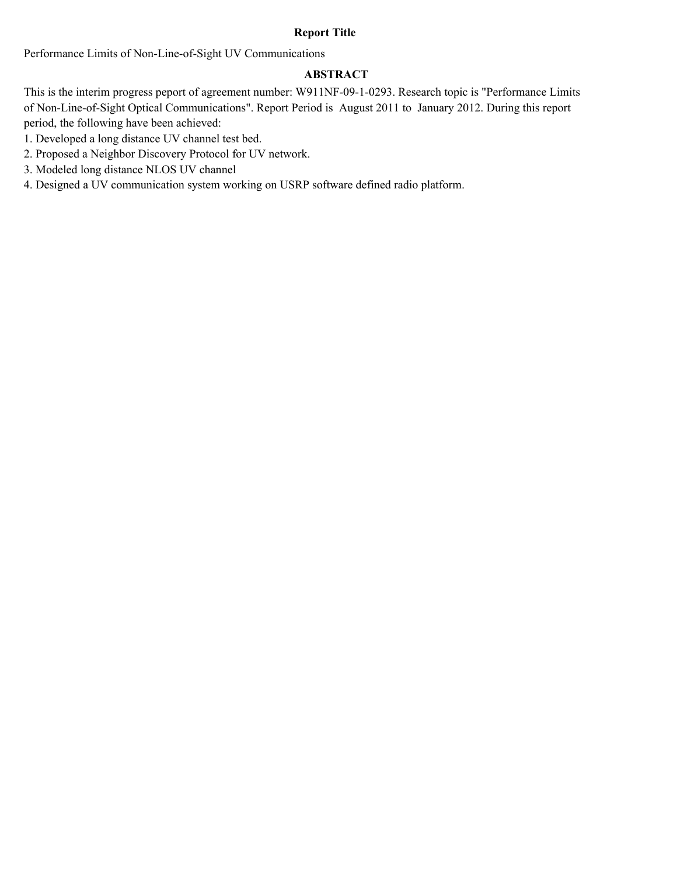#### **Report Title**

Performance Limits of Non-Line-of-Sight UV Communications

#### **ABSTRACT**

This is the interim progress peport of agreement number: W911NF-09-1-0293. Research topic is "Performance Limits of Non-Line-of-Sight Optical Communications". Report Period is August 2011 to January 2012. During this report period, the following have been achieved:

- 1. Developed a long distance UV channel test bed.
- 2. Proposed a Neighbor Discovery Protocol for UV network.
- 3. Modeled long distance NLOS UV channel
- 4. Designed a UV communication system working on USRP software defined radio platform.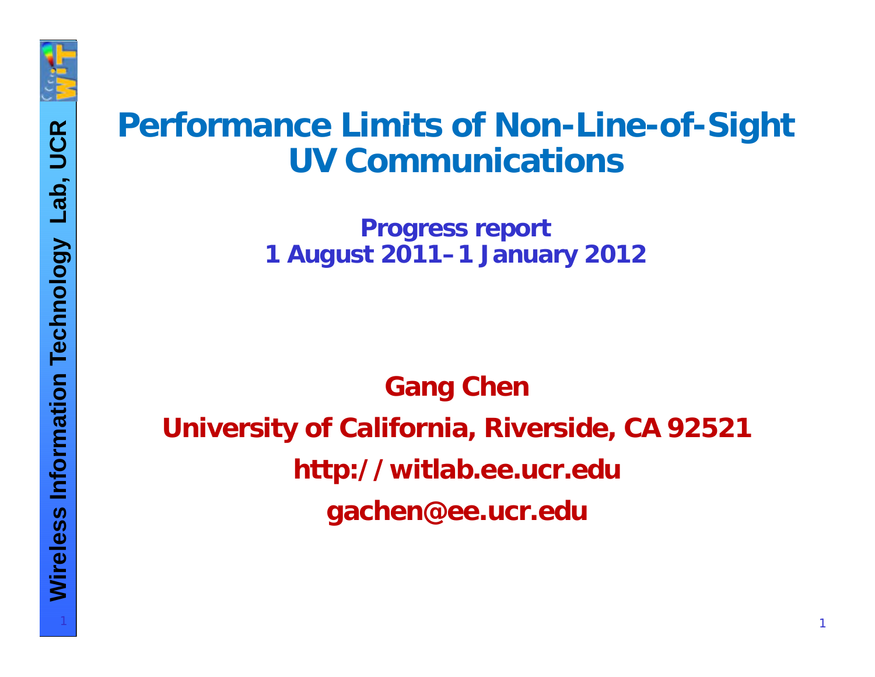

**ology Communications**<br>
Progress report<br>
1 August 2011–1 January 2012

**n**<br> **n**<br> **n**<br> **n**<br> **G**<br> **G**<br> **G**<br> **G**<br> **C**<br> **G Gang Chen University of California, Riverside, CA 92521 e**<br> **less less informations in the** *deu*<br> **less informations in the gachen@ee.ucr.edu**<br> **less in the gachen@ee.ucr.edu**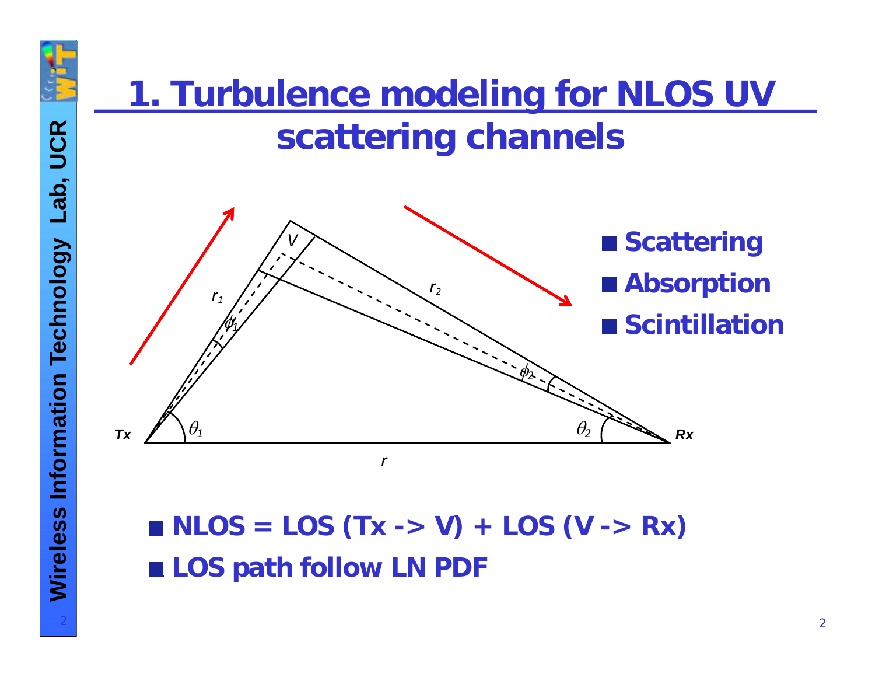

# **<sup>R</sup>1. Turbulence modeling for NLOS UV tt <sup>i</sup> <sup>h</sup> <sup>l</sup>ab, UCscatterin g channels**



 $\blacksquare$  NLOS = LOS (Tx -> V) + LOS (V -> Rx) ■ LOS path follow LN PDF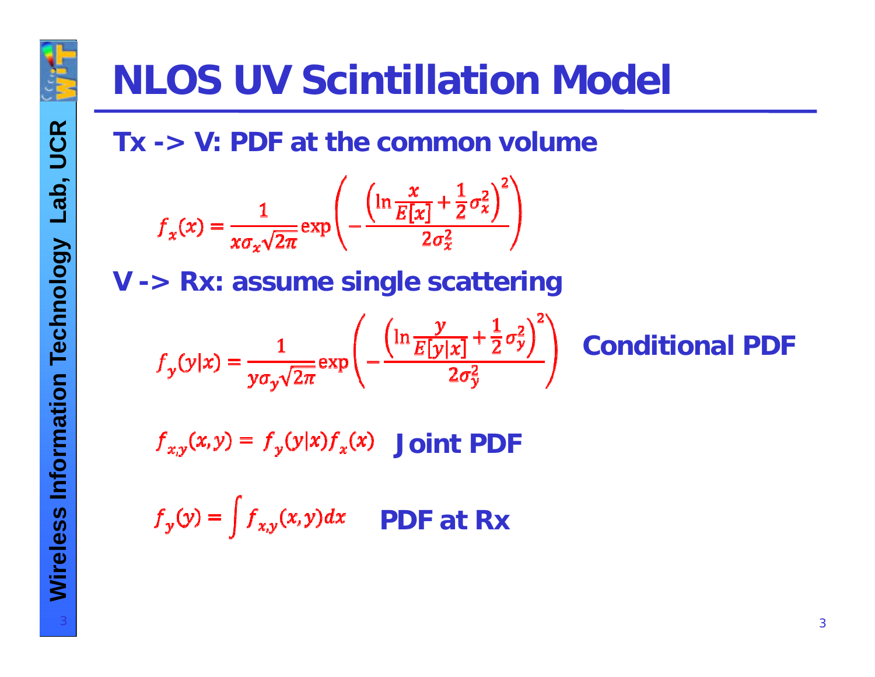

### **NLOS UV Scintillation Model**

Tx -> V: PDF at the common volume

$$
f_x(x) = \frac{1}{x\sigma_x\sqrt{2\pi}} \exp\left(-\frac{\left(\ln\frac{x}{E[x]} + \frac{1}{2}\sigma_x^2\right)^2}{2\sigma_x^2}\right)
$$

 $\mathcal{L}$ 

V -> Rx: assume single scattering

$$
f_y(y|x) = \frac{1}{y\sigma_y\sqrt{2\pi}} \exp\left(-\frac{\left(\ln\frac{y}{E[y|x]} + \frac{1}{2}\sigma_y^2\right)^2}{2\sigma_y^2}\right) \quad \text{Conditional PDF}
$$

nN.

 $f_{x,y}(x,y) = f_y(y|x) f_x(x)$  Joint PDF

 $f_y(y) = \int f_{x,y}(x, y) dx$  PDF at Rx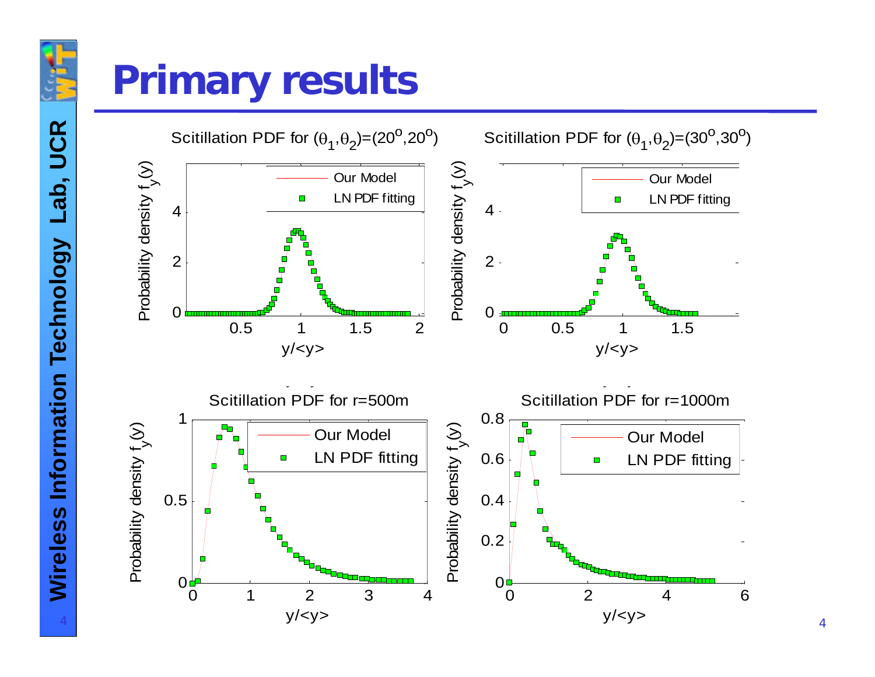

#### **Primary results**

UCR **ab, UC ology L Wire** 4

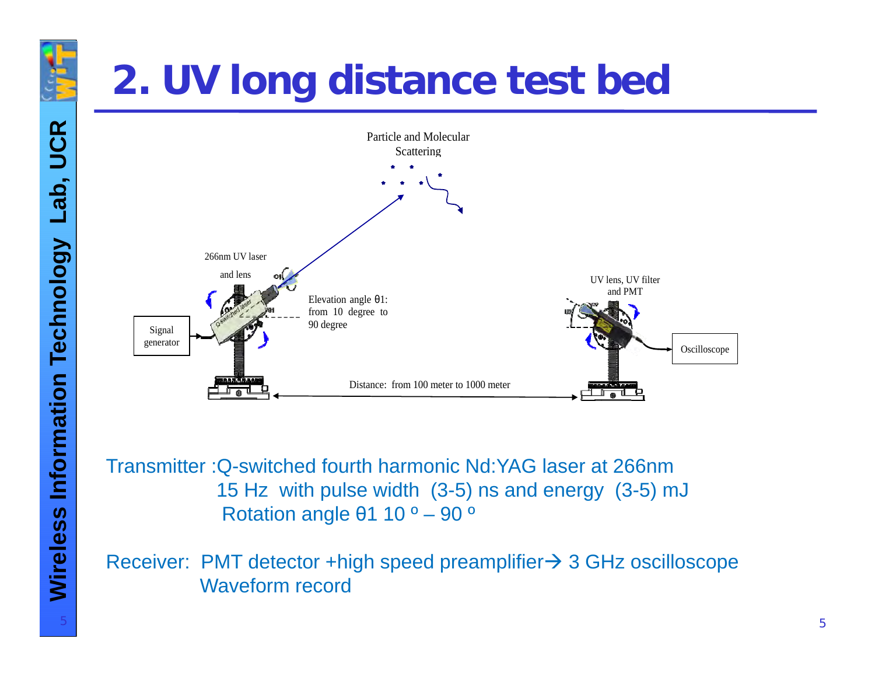### **2. UV long distance test bed**



15 Hz with pulse width (3-5) ns and energy (3-5) mJ θ1 10 º – 90 º

Receiver: PMT detector +high speed preamplifier→ 3 GHz oscilloscope Waveform record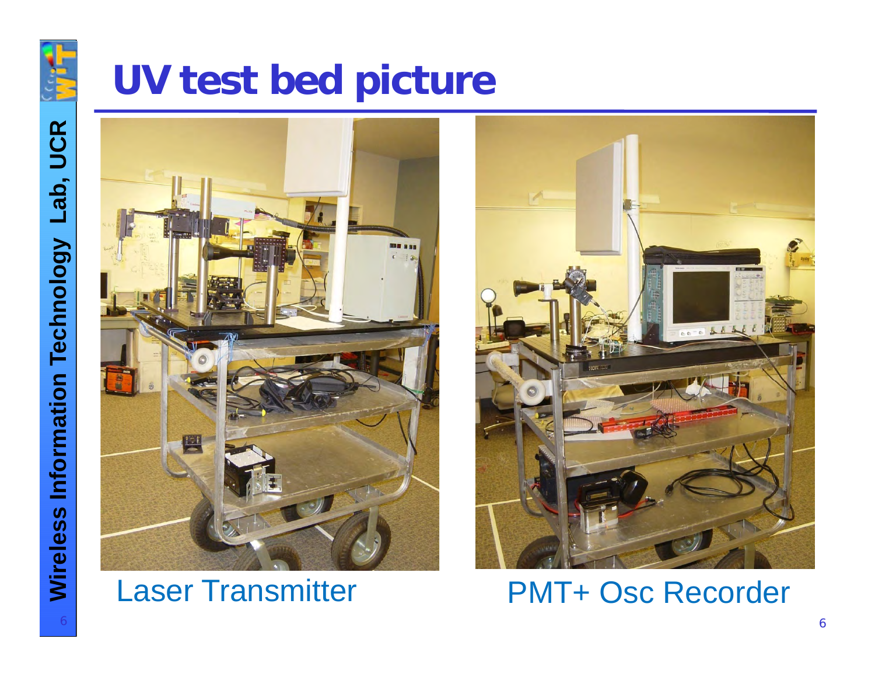

Lab, UCR

**Wireless Information Technology** 

#### UV test bed picture



#### **Laser Transmitter**



**PMT+ Osc Recorder**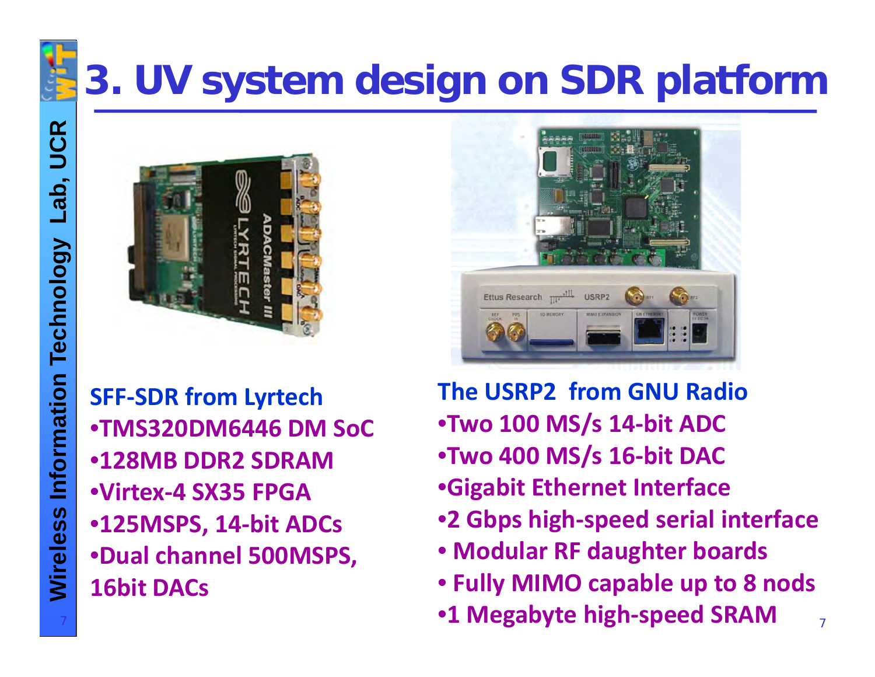

#### **3. UV system design on SDR platform**

7



**‐SDR from Lyrtech** •**TMS320DM6446 DM SoC** •**128MB DDR2 SDRAMless Info**•**Virtex ‐ 4 SX35 FPGA** •**125MSPS, 14 ‐bit ADCs •Dual channel 500MSPS, 16bit DACs**



**The USRP2 from GNU Radio** •**Two 100 MS/s 14 ‐bit ADC**

- •**Two 400 MS / s 16 ‐bit DAC**
- •**Gigabit Ethernet Interface**
- **2 Gbps high ‐speed serial interface**
- **Modular RF daughter boards**
- **Fully MIMO capable up to 8 nods**

7

• **1 Megabyte high ‐speed SRAM**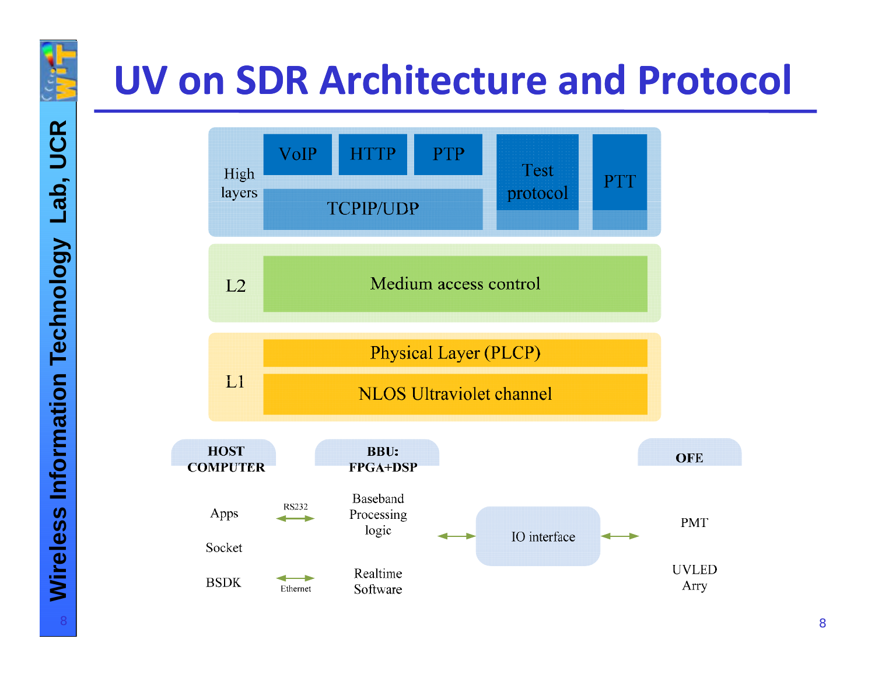

### **UV on SDR Architecture and Protocol**

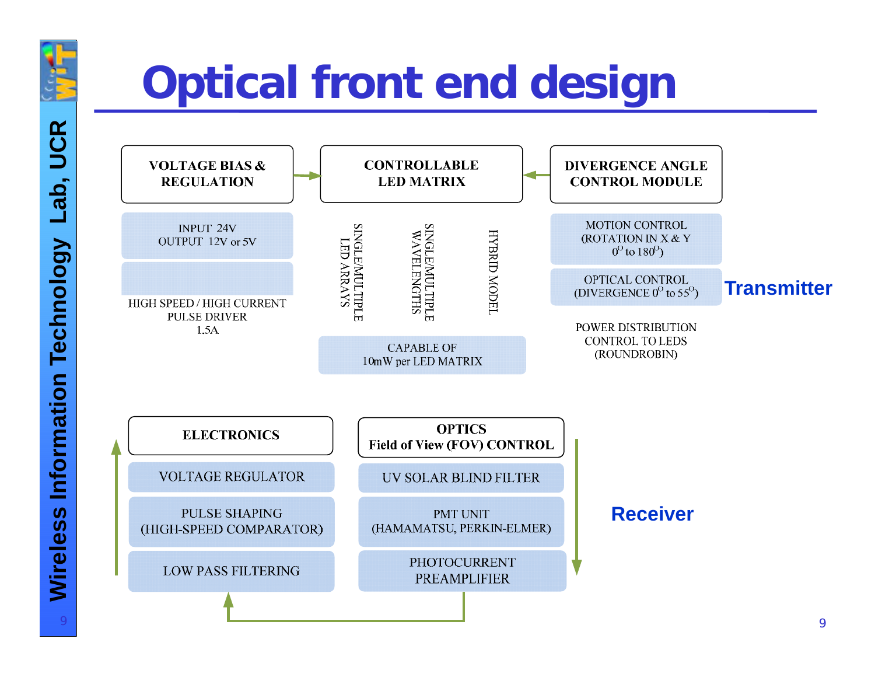

## **Optical front end design**



**UCR** Lab, **Technology Information Wireless**